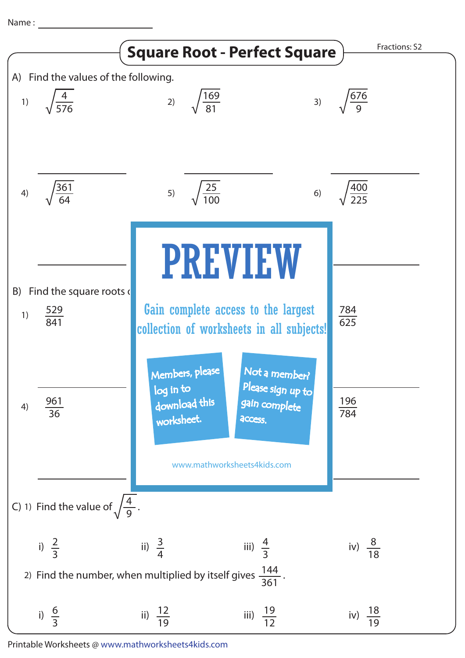Name :



Printable Worksheets @ www.mathworksheets4kids.com